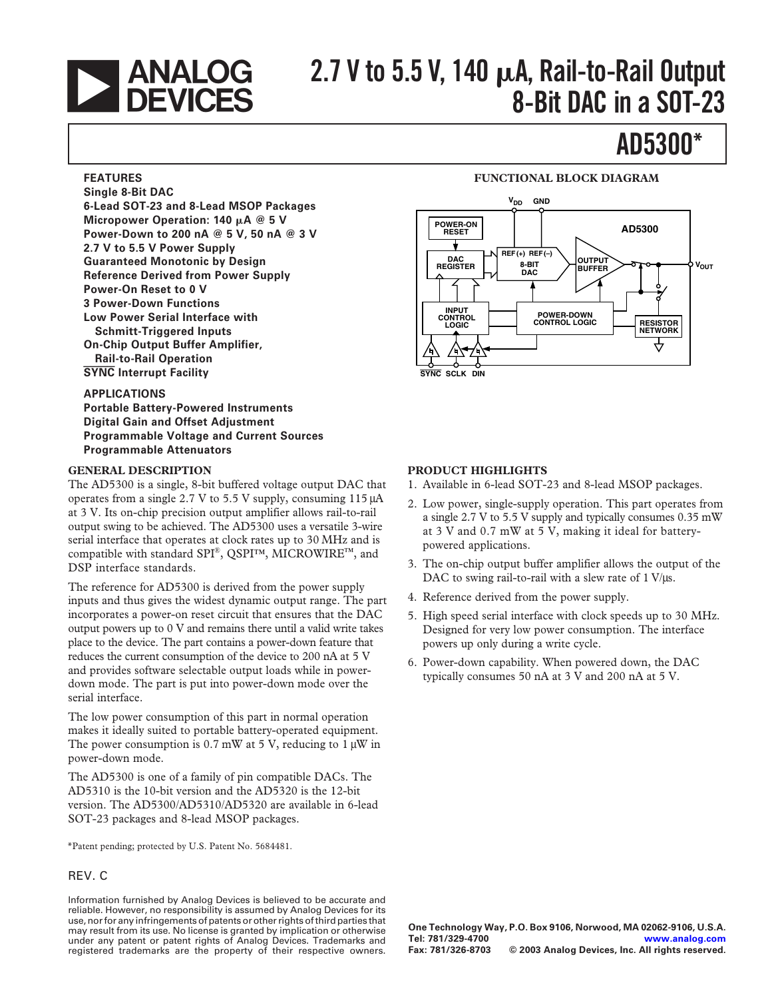

# **2.7 V to 5.5 V, 140 A, Rail-to-Rail Output 8-Bit DAC in a SOT-23**

# **AD5300\***

## **FEATURES**

**Single 8-Bit DAC 6-Lead SOT-23 and 8-Lead MSOP Packages Micropower Operation: 140 A @ 5 V Power-Down to 200 nA @ 5 V, 50 nA @ 3 V 2.7 V to 5.5 V Power Supply Guaranteed Monotonic by Design Reference Derived from Power Supply Power-On Reset to 0 V 3 Power-Down Functions Low Power Serial Interface with Schmitt-Triggered Inputs On-Chip Output Buffer Amplifier, Rail-to-Rail Operation SYNC Interrupt Facility**

## **APPLICATIONS**

**Portable Battery-Powered Instruments Digital Gain and Offset Adjustment Programmable Voltage and Current Sources Programmable Attenuators**

## **GENERAL DESCRIPTION**

The AD5300 is a single, 8-bit buffered voltage output DAC that operates from a single 2.7 V to 5.5 V supply, consuming 115 µA at 3 V. Its on-chip precision output amplifier allows rail-to-rail output swing to be achieved. The AD5300 uses a versatile 3-wire serial interface that operates at clock rates up to 30 MHz and is compatible with standard SPI®, QSPI™, MICROWIRE™, and DSP interface standards.

The reference for AD5300 is derived from the power supply inputs and thus gives the widest dynamic output range. The part incorporates a power-on reset circuit that ensures that the DAC output powers up to 0 V and remains there until a valid write takes place to the device. The part contains a power-down feature that reduces the current consumption of the device to 200 nA at 5 V and provides software selectable output loads while in powerdown mode. The part is put into power-down mode over the serial interface.

The low power consumption of this part in normal operation makes it ideally suited to portable battery-operated equipment. The power consumption is  $0.7 \text{ mW}$  at 5 V, reducing to 1  $\mu$ W in power-down mode.

The AD5300 is one of a family of pin compatible DACs. The AD5310 is the 10-bit version and the AD5320 is the 12-bit version. The AD5300/AD5310/AD5320 are available in 6-lead SOT-23 packages and 8-lead MSOP packages.

\*Patent pending; protected by U.S. Patent No. 5684481.

## REV. C

Information furnished by Analog Devices is believed to be accurate and reliable. However, no responsibility is assumed by Analog Devices for its use, nor for any infringements of patents or other rights of third parties that may result from its use. No license is granted by implication or otherwise under any patent or patent rights of Analog Devices. Trademarks and registered trademarks are the property of their respective owners.

## **FUNCTIONAL BLOCK DIAGRAM**



## **PRODUCT HIGHLIGHTS**

- 1. Available in 6-lead SOT-23 and 8-lead MSOP packages.
- 2. Low power, single-supply operation. This part operates from a single 2.7 V to 5.5 V supply and typically consumes 0.35 mW at 3 V and 0.7 mW at 5 V, making it ideal for batterypowered applications.
- 3. The on-chip output buffer amplifier allows the output of the DAC to swing rail-to-rail with a slew rate of  $1 \text{ V/}\mu\text{s}$ .
- 4. Reference derived from the power supply.
- 5. High speed serial interface with clock speeds up to 30 MHz. Designed for very low power consumption. The interface powers up only during a write cycle.
- 6. Power-down capability. When powered down, the DAC typically consumes 50 nA at 3 V and 200 nA at 5 V.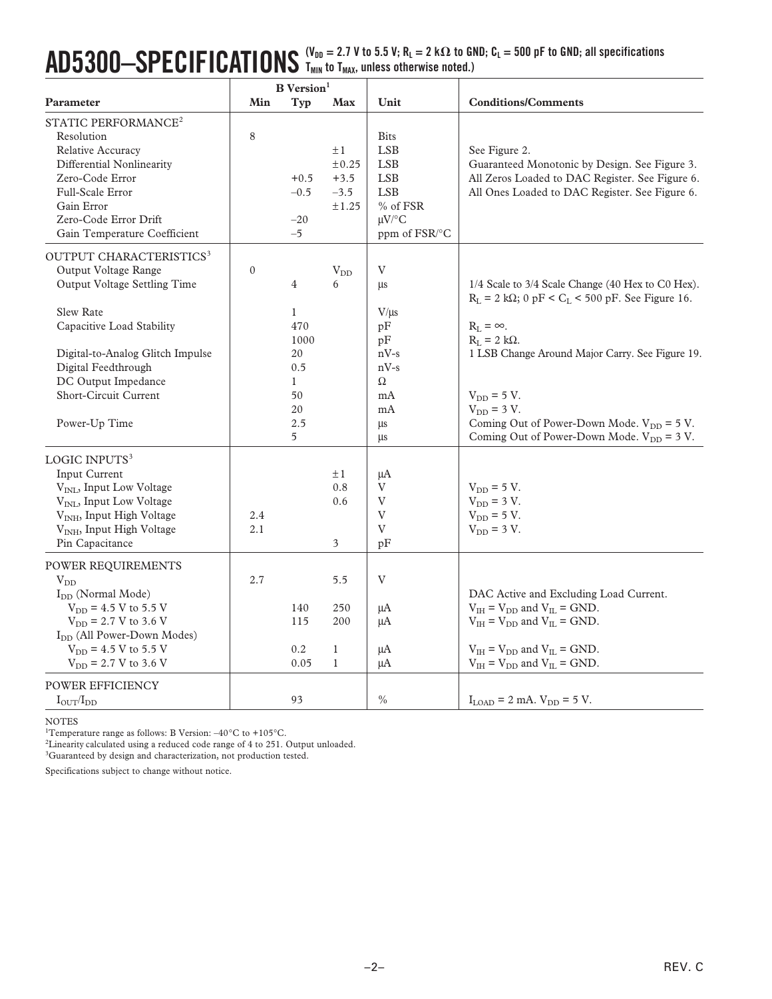## $\mathbf{A}\mathbf{D}5300- \mathbf{SPEC}$  **IFICATIONS**  $\frac{\mathsf{(V_{DD}}=2.7~\mathsf{V}~\mathsf{to}~5.5~\mathsf{V};~\mathsf{R}_\mathsf{L}=2~\mathsf{k}\Omega~\mathsf{to}~\mathsf{GND};~\mathsf{C}_\mathsf{L}=500~\mathsf{pF}~\mathsf{to}~\mathsf{GND};~\mathsf{all}~\mathsf{specifications}}$ **TMIN to TMAX, unless otherwise noted.)**

|                                                                                                                                                                                                                                                                                                                                                                                                                                                                         | <b>B</b> Version <sup>1</sup> |                                                                                       |                                                                                 |                                                                                                                  |                                                                                                                                                                                                                                                                                                                                                                    |  |
|-------------------------------------------------------------------------------------------------------------------------------------------------------------------------------------------------------------------------------------------------------------------------------------------------------------------------------------------------------------------------------------------------------------------------------------------------------------------------|-------------------------------|---------------------------------------------------------------------------------------|---------------------------------------------------------------------------------|------------------------------------------------------------------------------------------------------------------|--------------------------------------------------------------------------------------------------------------------------------------------------------------------------------------------------------------------------------------------------------------------------------------------------------------------------------------------------------------------|--|
| Parameter                                                                                                                                                                                                                                                                                                                                                                                                                                                               | Min                           | Typ                                                                                   | Max                                                                             | Unit                                                                                                             | <b>Conditions/Comments</b>                                                                                                                                                                                                                                                                                                                                         |  |
| STATIC PERFORMANCE <sup>2</sup><br>Resolution<br>Relative Accuracy<br>Differential Nonlinearity<br>Zero-Code Error<br>Full-Scale Error<br>Gain Error<br>Zero-Code Error Drift<br>Gain Temperature Coefficient                                                                                                                                                                                                                                                           | 8                             | $+0.5$<br>$-0.5$<br>$-20$<br>$-5$                                                     | $\pm 1$<br>±0.25<br>$+3.5$<br>$-3.5$<br>±1.25                                   | <b>Bits</b><br><b>LSB</b><br><b>LSB</b><br><b>LSB</b><br><b>LSB</b><br>% of FSR<br>$\mu$ V/°C<br>ppm of FSR/°C   | See Figure 2.<br>Guaranteed Monotonic by Design. See Figure 3.<br>All Zeros Loaded to DAC Register. See Figure 6.<br>All Ones Loaded to DAC Register. See Figure 6.                                                                                                                                                                                                |  |
| OUTPUT CHARACTERISTICS <sup>3</sup><br>Output Voltage Range<br>Output Voltage Settling Time<br><b>Slew Rate</b><br>Capacitive Load Stability<br>Digital-to-Analog Glitch Impulse<br>Digital Feedthrough<br>DC Output Impedance<br><b>Short-Circuit Current</b><br>Power-Up Time                                                                                                                                                                                         | $\mathbf{0}$                  | 4<br>$\mathbf{1}$<br>470<br>1000<br>20<br>0.5<br>$\mathbf{1}$<br>50<br>20<br>2.5<br>5 | $\rm V_{DD}$<br>6                                                               | $\ensuremath{\mathbf{V}}$<br>μs<br>$V/\mu s$<br>pF<br>pF<br>$nV-s$<br>$nV-s$<br>$\Omega$<br>mA<br>mA<br>μs<br>μs | 1/4 Scale to 3/4 Scale Change (40 Hex to C0 Hex).<br>$R_L = 2 k\Omega$ ; 0 pF < C <sub>L</sub> < 500 pF. See Figure 16.<br>$R_L = \infty$ .<br>$R_L = 2 k\Omega$ .<br>1 LSB Change Around Major Carry. See Figure 19.<br>$V_{DD} = 5 V$ .<br>$V_{DD}$ = 3 V.<br>Coming Out of Power-Down Mode. $V_{DD} = 5 V$ .<br>Coming Out of Power-Down Mode. $V_{DD} = 3 V$ . |  |
| LOGIC INPUTS <sup>3</sup><br><b>Input Current</b><br>V <sub>INL</sub> , Input Low Voltage<br>V <sub>INL</sub> , Input Low Voltage<br>V <sub>INH</sub> , Input High Voltage<br>V <sub>INH</sub> , Input High Voltage<br>Pin Capacitance<br>POWER REQUIREMENTS<br>$V_{DD}$<br>I <sub>DD</sub> (Normal Mode)<br>$V_{DD}$ = 4.5 V to 5.5 V<br>$V_{DD}$ = 2.7 V to 3.6 V<br>I <sub>DD</sub> (All Power-Down Modes)<br>$V_{DD}$ = 4.5 V to 5.5 V<br>$V_{DD}$ = 2.7 V to 3.6 V | 2.4<br>2.1<br>2.7             | 140<br>115<br>0.2<br>0.05                                                             | $\pm 1$<br>0.8<br>0.6<br>3<br>5.5<br>250<br>200<br>$\mathbf{1}$<br>$\mathbf{1}$ | μA<br>V<br>V<br>$\ensuremath{\mathbf{V}}$<br>V<br>pF<br>V<br>μA<br>μA<br>μA<br>μA                                | $V_{DD} = 5 V$ .<br>$V_{DD}$ = 3 V.<br>$V_{DD} = 5 V$ .<br>$V_{DD}$ = 3 V.<br>DAC Active and Excluding Load Current.<br>$V_{IH}$ = $V_{DD}$ and $V_{IL}$ = GND.<br>$V_{IH}$ = $V_{DD}$ and $V_{IL}$ = GND.<br>$V_{IH} = V_{DD}$ and $V_{IL} = GND$ .<br>$V_{IH}$ = $V_{DD}$ and $V_{IL}$ = GND.                                                                    |  |
| POWER EFFICIENCY<br>$I_{\text{OUT}}/I_{\text{DD}}$                                                                                                                                                                                                                                                                                                                                                                                                                      |                               | 93                                                                                    |                                                                                 | $\%$                                                                                                             | $I_{\text{LOAD}} = 2 \text{ mA}$ . $V_{\text{DD}} = 5 \text{ V}$ .                                                                                                                                                                                                                                                                                                 |  |

NOTES

<sup>1</sup>Temperature range as follows: B Version:  $-40^{\circ}$ C to  $+105^{\circ}$ C.

<sup>2</sup>Linearity calculated using a reduced code range of 4 to 251. Output unloaded.

<sup>3</sup>Guaranteed by design and characterization, not production tested.

Specifications subject to change without notice.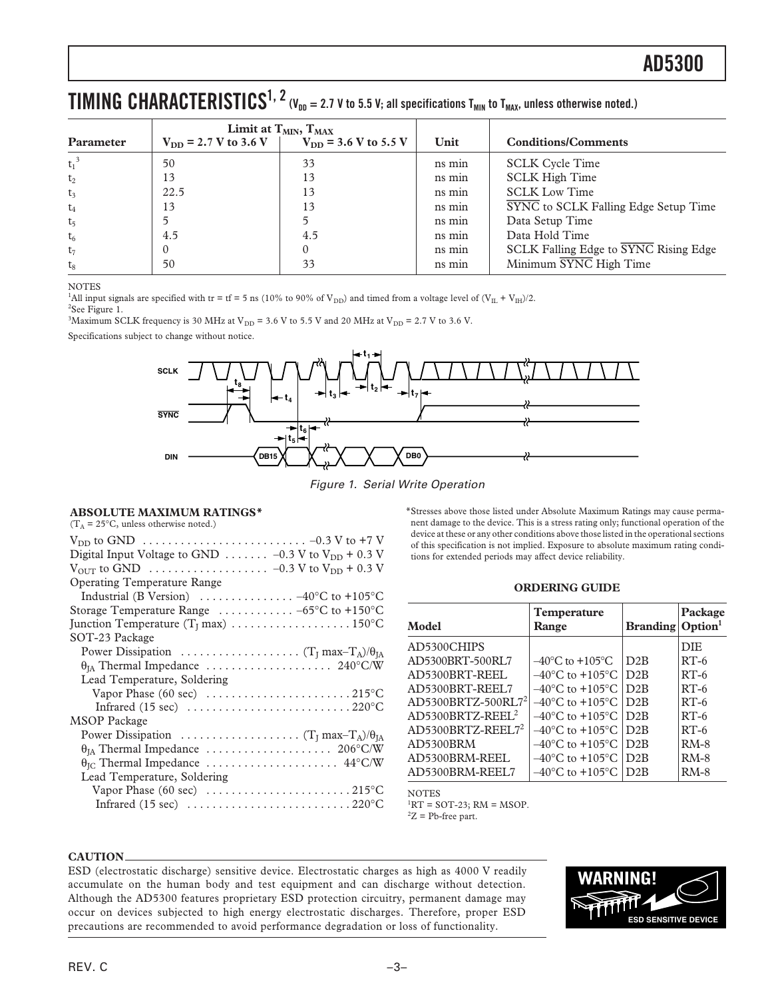## $\bf{TIMING}$   $\bf{CHARACTERISTICS}^{1, 2}$  (V<sub>DD</sub> = 2.7 V to 5.5 V; all specifications T<sub>MIN</sub> to T<sub>MAX</sub>, unless otherwise noted.)

|                |                           | Limit at $T_{MIN}$ , $T_{MAX}$ |        |                                             |
|----------------|---------------------------|--------------------------------|--------|---------------------------------------------|
| Parameter      | $V_{DD}$ = 2.7 V to 3.6 V | $V_{DD}$ = 3.6 V to 5.5 V      | Unit   | <b>Conditions/Comments</b>                  |
| $t_1^3$        | 50                        | 33                             | ns min | <b>SCLK Cycle Time</b>                      |
| $t_2$          | 13                        | 13                             | ns min | <b>SCLK High Time</b>                       |
| $t_3$          | 22.5                      | 13                             | ns min | <b>SCLK Low Time</b>                        |
| $t_4$          | 13                        | 13                             | ns min | <b>SYNC</b> to SCLK Falling Edge Setup Time |
| t <sub>5</sub> |                           |                                | ns min | Data Setup Time                             |
| $t_6$          | 4.5                       | 4.5                            | ns min | Data Hold Time                              |
| $t_7$          |                           |                                | ns min | SCLK Falling Edge to SYNC Rising Edge       |
| $t_{8}$        | 50                        | 33                             | ns min | Minimum SYNC High Time                      |

NOTES

<sup>1</sup>All input signals are specified with tr = tf = 5 ns (10% to 90% of V<sub>DD</sub>) and timed from a voltage level of  $(V_{\rm IL} + V_{\rm IH})/2$ .

<sup>2</sup>See Figure 1. <sup>3</sup>Maximum SCLK frequency is 30 MHz at V<sub>DD</sub> = 3.6 V to 5.5 V and 20 MHz at V<sub>DD</sub> = 2.7 V to 3.6 V.

Specifications subject to change without notice.



Figure 1. Serial Write Operation

## **ABSOLUTE MAXIMUM RATINGS\***

 $(T_A = 25\degree C$ , unless otherwise noted.)

\*Stresses above those listed under Absolute Maximum Ratings may cause permanent damage to the device. This is a stress rating only; functional operation of the device at these or any other conditions above those listed in the operational sections of this specification is not implied. Exposure to absolute maximum rating conditions for extended periods may affect device reliability.

### **ORDERING GUIDE**

| Model                          | Temperature<br>Range                | <b>Branding</b> Option <sup>1</sup> | Package    |
|--------------------------------|-------------------------------------|-------------------------------------|------------|
| AD5300CHIPS                    |                                     |                                     | <b>DIE</b> |
| AD5300BRT-500RL7               | $-40^{\circ}$ C to $+105^{\circ}$ C | D2B                                 | $RT-6$     |
| AD5300BRT-REEL                 | $-40^{\circ}$ C to $+105^{\circ}$ C | D2R                                 | $RT-6$     |
| AD5300BRT-REEL7                | $-40^{\circ}$ C to $+105^{\circ}$ C | D2R                                 | $RT-6$     |
| AD5300BRTZ-500RL7 <sup>2</sup> | $-40^{\circ}$ C to $+105^{\circ}$ C | D2R                                 | $RT-6$     |
| $AD5300BRTZ-REEL2$             | $-40^{\circ}$ C to $+105^{\circ}$ C | D2R                                 | $RT-6$     |
| AD5300BRTZ-REEL7 <sup>2</sup>  | $-40^{\circ}$ C to $+105^{\circ}$ C | D2R                                 | $RT-6$     |
| AD5300BRM                      | $-40^{\circ}$ C to $+105^{\circ}$ C | D2R                                 | $RM-8$     |
| AD5300BRM-REEL                 | $-40^{\circ}$ C to $+105^{\circ}$ C | D2B                                 | $RM-8$     |
| AD5300BRM-REEL7                | $-40^{\circ}$ C to $+105^{\circ}$ C | D2B                                 | $RM-8$     |

NOTES  ${}^{1}RT =$  SOT-23; RM = MSOP.  ${}^{2}Z$  = Pb-free part.

#### **CAUTION**

ESD (electrostatic discharge) sensitive device. Electrostatic charges as high as 4000 V readily accumulate on the human body and test equipment and can discharge without detection. Although the AD5300 features proprietary ESD protection circuitry, permanent damage may occur on devices subjected to high energy electrostatic discharges. Therefore, proper ESD precautions are recommended to avoid performance degradation or loss of functionality.

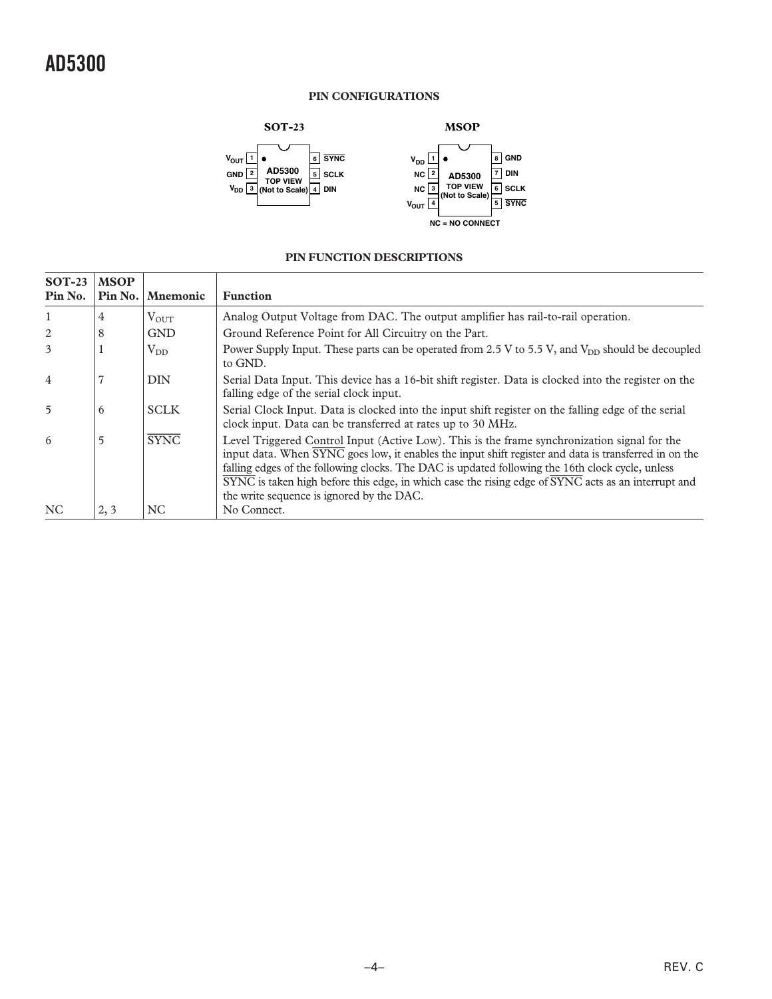## **PIN CONFIGURATIONS**



## **PIN FUNCTION DESCRIPTIONS**

| $SOT-23$<br>Pin No. | <b>MSOP</b><br>Pin No. | <b>Mnemonic</b> | <b>Function</b>                                                                                                                                                                                                                                                                                                                                                                                                                                                                                       |
|---------------------|------------------------|-----------------|-------------------------------------------------------------------------------------------------------------------------------------------------------------------------------------------------------------------------------------------------------------------------------------------------------------------------------------------------------------------------------------------------------------------------------------------------------------------------------------------------------|
| 1                   | 4                      | $V_{OUT}$       | Analog Output Voltage from DAC. The output amplifier has rail-to-rail operation.                                                                                                                                                                                                                                                                                                                                                                                                                      |
| 2                   | 8                      | <b>GND</b>      | Ground Reference Point for All Circuitry on the Part.                                                                                                                                                                                                                                                                                                                                                                                                                                                 |
| 3                   |                        | $V_{DD}$        | Power Supply Input. These parts can be operated from 2.5 V to 5.5 V, and $V_{DD}$ should be decoupled<br>to GND.                                                                                                                                                                                                                                                                                                                                                                                      |
| $\overline{4}$      |                        | <b>DIN</b>      | Serial Data Input. This device has a 16-bit shift register. Data is clocked into the register on the<br>falling edge of the serial clock input.                                                                                                                                                                                                                                                                                                                                                       |
| $\overline{5}$      | 6                      | <b>SCLK</b>     | Serial Clock Input. Data is clocked into the input shift register on the falling edge of the serial<br>clock input. Data can be transferred at rates up to 30 MHz.                                                                                                                                                                                                                                                                                                                                    |
| 6                   | 5                      | <b>SYNC</b>     | Level Triggered Control Input (Active Low). This is the frame synchronization signal for the<br>input data. When SYNC goes low, it enables the input shift register and data is transferred in on the<br>falling edges of the following clocks. The DAC is updated following the 16th clock cycle, unless<br>$\overline{\text{SYNC}}$ is taken high before this edge, in which case the rising edge of $\overline{\text{SYNC}}$ acts as an interrupt and<br>the write sequence is ignored by the DAC. |
| NC                  | 2, 3                   | NC              | No Connect.                                                                                                                                                                                                                                                                                                                                                                                                                                                                                           |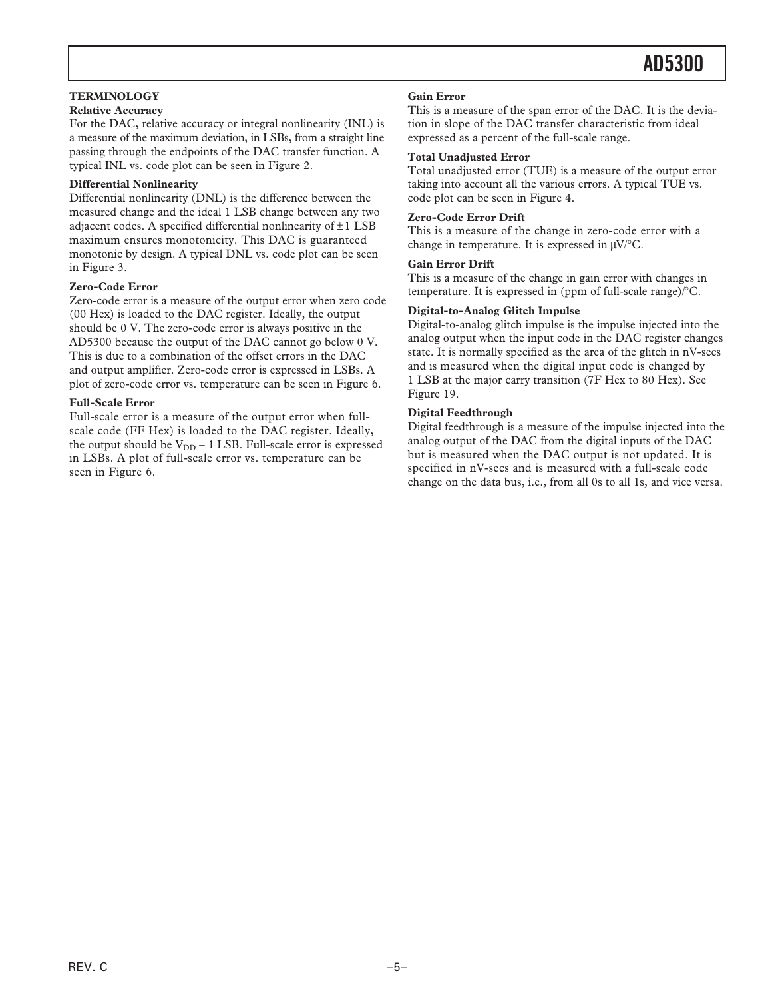## **TERMINOLOGY**

## **Relative Accuracy**

For the DAC, relative accuracy or integral nonlinearity (INL) is a measure of the maximum deviation, in LSBs, from a straight line passing through the endpoints of the DAC transfer function. A typical INL vs. code plot can be seen in Figure 2.

## **Differential Nonlinearity**

Differential nonlinearity (DNL) is the difference between the measured change and the ideal 1 LSB change between any two adjacent codes. A specified differential nonlinearity of  $\pm 1$  LSB maximum ensures monotonicity. This DAC is guaranteed monotonic by design. A typical DNL vs. code plot can be seen in Figure 3.

### **Zero-Code Error**

Zero-code error is a measure of the output error when zero code (00 Hex) is loaded to the DAC register. Ideally, the output should be 0 V. The zero-code error is always positive in the AD5300 because the output of the DAC cannot go below 0 V. This is due to a combination of the offset errors in the DAC and output amplifier. Zero-code error is expressed in LSBs. A plot of zero-code error vs. temperature can be seen in Figure 6.

## **Full-Scale Error**

Full-scale error is a measure of the output error when fullscale code (FF Hex) is loaded to the DAC register. Ideally, the output should be  $V_{DD}$  – 1 LSB. Full-scale error is expressed in LSBs. A plot of full-scale error vs. temperature can be seen in Figure 6.

### **Gain Error**

This is a measure of the span error of the DAC. It is the deviation in slope of the DAC transfer characteristic from ideal expressed as a percent of the full-scale range.

#### **Total Unadjusted Error**

Total unadjusted error (TUE) is a measure of the output error taking into account all the various errors. A typical TUE vs. code plot can be seen in Figure 4.

### **Zero-Code Error Drift**

This is a measure of the change in zero-code error with a change in temperature. It is expressed in  $\mu$ V/°C.

## **Gain Error Drift**

This is a measure of the change in gain error with changes in temperature. It is expressed in (ppm of full-scale range)/°C.

## **Digital-to-Analog Glitch Impulse**

Digital-to-analog glitch impulse is the impulse injected into the analog output when the input code in the DAC register changes state. It is normally specified as the area of the glitch in nV-secs and is measured when the digital input code is changed by 1 LSB at the major carry transition (7F Hex to 80 Hex). See Figure 19.

### **Digital Feedthrough**

Digital feedthrough is a measure of the impulse injected into the analog output of the DAC from the digital inputs of the DAC but is measured when the DAC output is not updated. It is specified in nV-secs and is measured with a full-scale code change on the data bus, i.e., from all 0s to all 1s, and vice versa.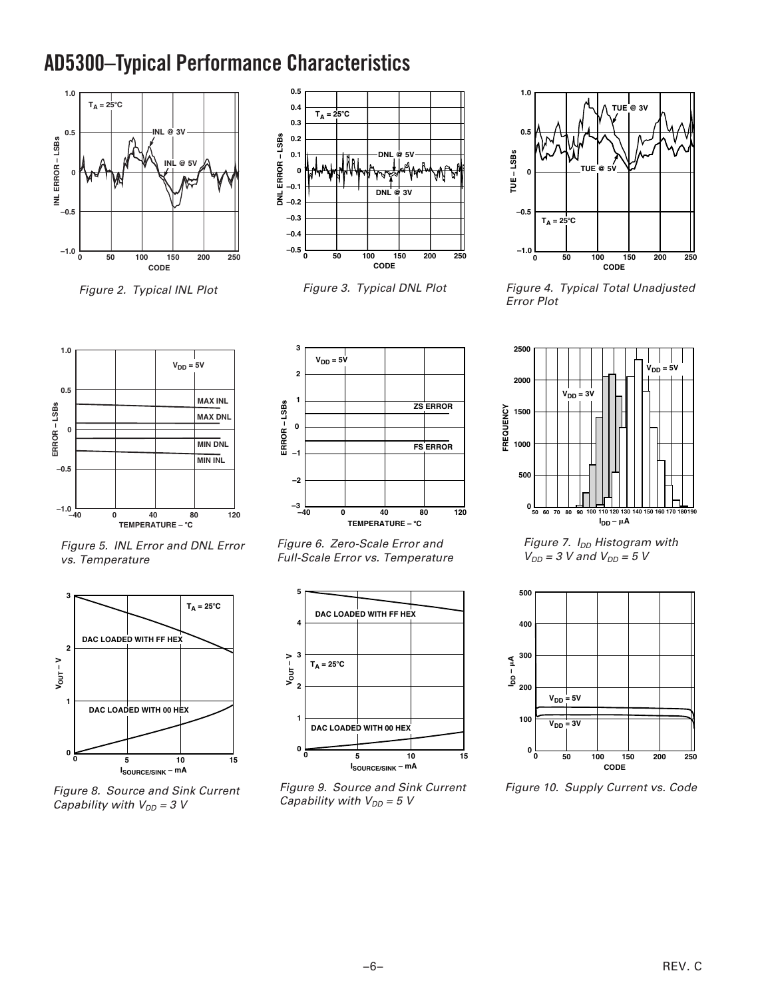# **AD5300–Typical Performance Characteristics**



Figure 2. Typical INL Plot



Figure 3. Typical DNL Plot



Figure 4. Typical Total Unadjusted Error Plot



Figure 5. INL Error and DNL Error vs. Temperature



Figure 8. Source and Sink Current Capability with  $V_{DD} = 3$  V



Figure 6. Zero-Scale Error and Full-Scale Error vs. Temperature



Figure 9. Source and Sink Current Capability with  $V_{DD} = 5 V$ 



Figure 7.  $I_{DD}$  Histogram with  $V_{DD}$  = 3 V and  $V_{DD}$  = 5 V



Figure 10. Supply Current vs. Code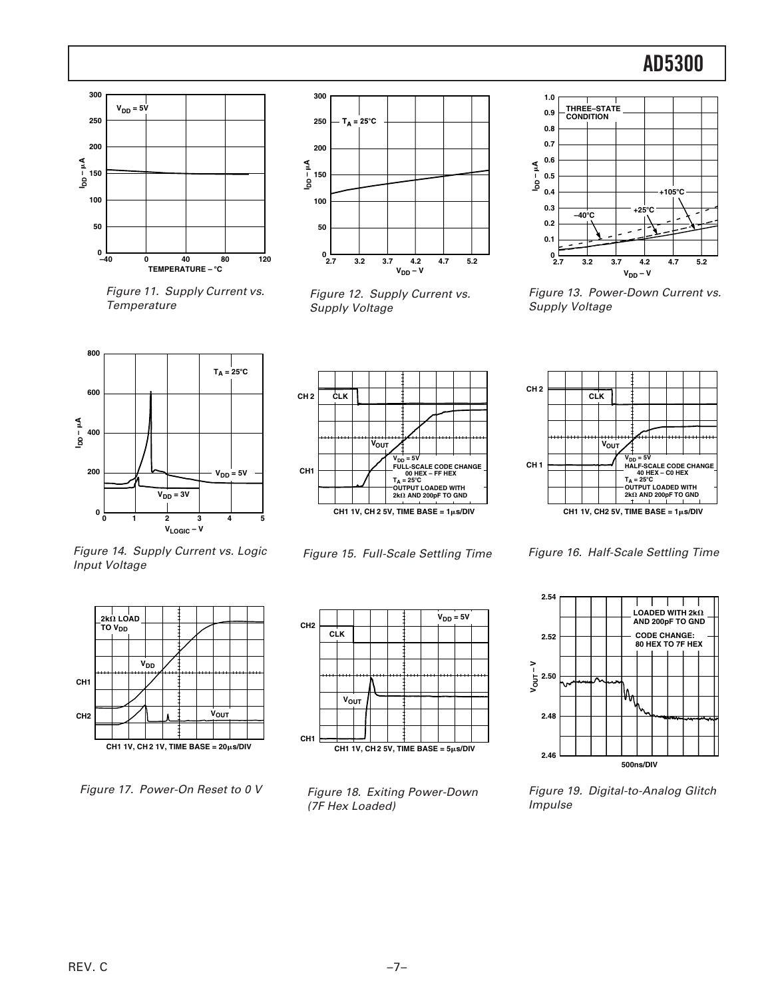

Figure 11. Supply Current vs. **Temperature** 



Figure 12. Supply Current vs. Supply Voltage



Figure 13. Power-Down Current vs. Supply Voltage







Figure 16. Half-Scale Settling Time



Figure 19. Digital-to-Analog Glitch Impulse





Figure 17. Power-On Reset to 0 V



Figure 15. Full-Scale Settling Time



Figure 18. Exiting Power-Down (7F Hex Loaded)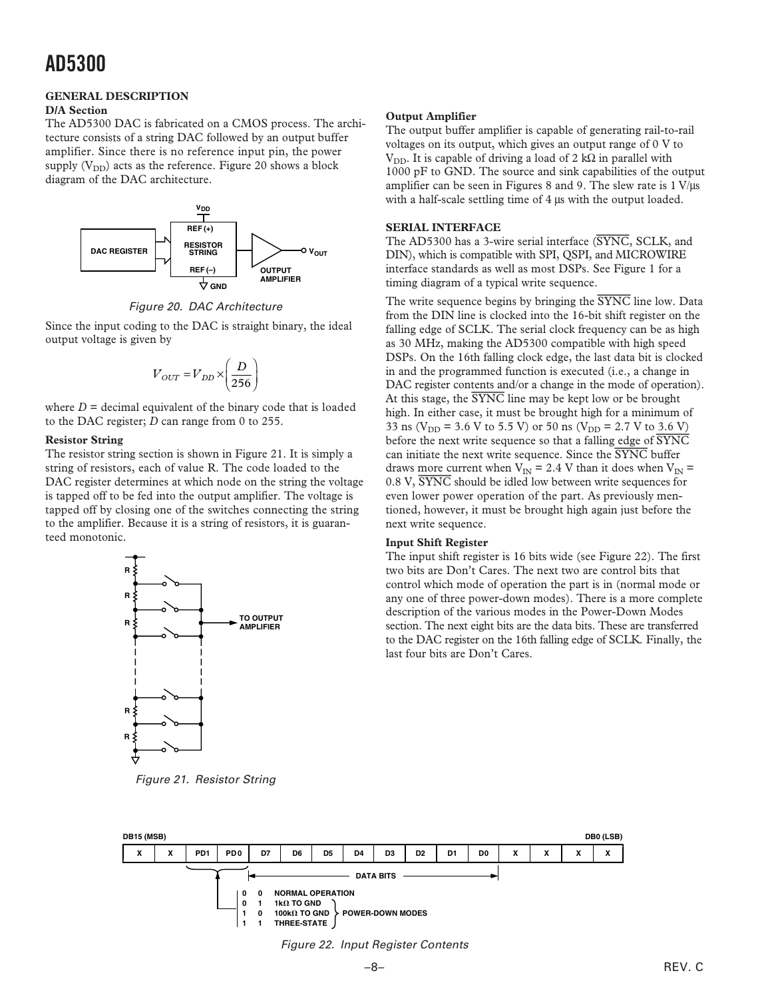## **GENERAL DESCRIPTION**

## **D/A Section**

The AD5300 DAC is fabricated on a CMOS process. The architecture consists of a string DAC followed by an output buffer amplifier. Since there is no reference input pin, the power supply  $(V_{DD})$  acts as the reference. Figure 20 shows a block diagram of the DAC architecture.



Figure 20. DAC Architecture

Since the input coding to the DAC is straight binary, the ideal output voltage is given by

$$
V_{OUT} = V_{DD} \times \left(\frac{D}{256}\right)
$$

where  $D =$  decimal equivalent of the binary code that is loaded to the DAC register; *D* can range from 0 to 255.

## **Resistor String**

The resistor string section is shown in Figure 21. It is simply a string of resistors, each of value R. The code loaded to the DAC register determines at which node on the string the voltage is tapped off to be fed into the output amplifier. The voltage is tapped off by closing one of the switches connecting the string to the amplifier. Because it is a string of resistors, it is guaranteed monotonic.



Figure 21. Resistor String

## **Output Amplifier**

The output buffer amplifier is capable of generating rail-to-rail voltages on its output, which gives an output range of 0 V to V<sub>DD</sub>. It is capable of driving a load of 2 kΩ in parallel with 1000 pF to GND. The source and sink capabilities of the output amplifier can be seen in Figures 8 and 9. The slew rate is  $1 \text{ V/}\mu\text{s}$ with a half-scale settling time of 4  $\mu$ s with the output loaded.

## **SERIAL INTERFACE**

The AD5300 has a 3-wire serial interface (*SYNC*, SCLK, and DIN), which is compatible with SPI, QSPI, and MICROWIRE interface standards as well as most DSPs. See Figure 1 for a timing diagram of a typical write sequence.

The write sequence begins by bringing the *SYNC* line low. Data from the DIN line is clocked into the 16-bit shift register on the falling edge of SCLK. The serial clock frequency can be as high as 30 MHz, making the AD5300 compatible with high speed DSPs. On the 16th falling clock edge, the last data bit is clocked in and the programmed function is executed (i.e., a change in DAC register contents and/or a change in the mode of operation). At this stage, the *SYNC* line may be kept low or be brought high. In either case, it must be brought high for a minimum of 33 ns ( $V_{DD}$  = 3.6 V to 5.5 V) or 50 ns ( $V_{DD}$  = 2.7 V to 3.6 V) before the next write sequence so that a falling edge of *SYNC* can initiate the next write sequence. Since the *SYNC* buffer draws more current when  $V_{IN} = 2.4$  V than it does when  $V_{IN} =$ 0.8 V, *SYNC* should be idled low between write sequences for even lower power operation of the part. As previously mentioned, however, it must be brought high again just before the next write sequence.

## **Input Shift Register**

The input shift register is 16 bits wide (see Figure 22). The first two bits are Don't Cares. The next two are control bits that control which mode of operation the part is in (normal mode or any one of three power-down modes). There is a more complete description of the various modes in the Power-Down Modes section. The next eight bits are the data bits. These are transferred to the DAC register on the 16th falling edge of SCLK. Finally, the last four bits are Don't Cares.



Figure 22. Input Register Contents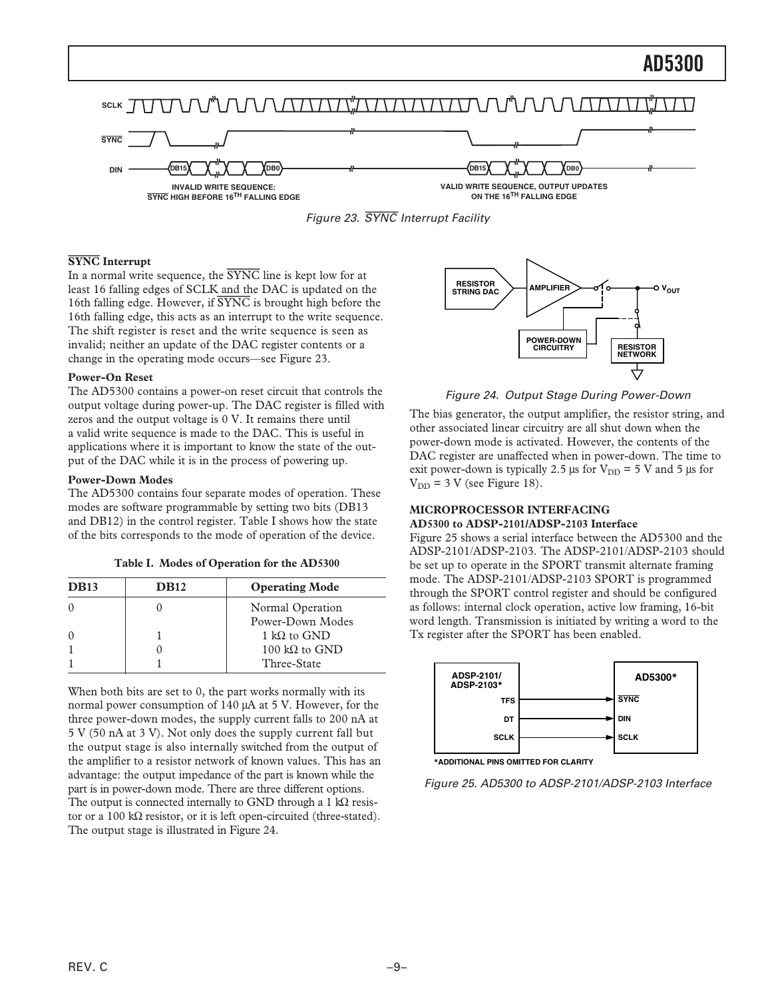



## **SYNC Interrupt**

In a normal write sequence, the *SYNC* line is kept low for at least 16 falling edges of SCLK and the DAC is updated on the 16th falling edge. However, if *SYNC* is brought high before the 16th falling edge, this acts as an interrupt to the write sequence. The shift register is reset and the write sequence is seen as invalid; neither an update of the DAC register contents or a change in the operating mode occurs—see Figure 23.

### **Power-On Reset**

The AD5300 contains a power-on reset circuit that controls the output voltage during power-up. The DAC register is filled with zeros and the output voltage is 0 V. It remains there until a valid write sequence is made to the DAC. This is useful in applications where it is important to know the state of the output of the DAC while it is in the process of powering up.

### **Power-Down Modes**

The AD5300 contains four separate modes of operation. These modes are software programmable by setting two bits (DB13 and DB12) in the control register. Table I shows how the state of the bits corresponds to the mode of operation of the device.

|  |  |  | Table I. Modes of Operation for the AD5300 |  |  |  |
|--|--|--|--------------------------------------------|--|--|--|
|--|--|--|--------------------------------------------|--|--|--|

| <b>DB13</b> | <b>DB12</b> | <b>Operating Mode</b> |
|-------------|-------------|-----------------------|
|             |             | Normal Operation      |
|             |             | Power-Down Modes      |
| $\Omega$    |             | 1 kQ to GND           |
|             |             | 100 kΩ to GND         |
|             |             | Three-State           |

When both bits are set to 0, the part works normally with its normal power consumption of 140 µA at 5 V. However, for the three power-down modes, the supply current falls to 200 nA at 5 V (50 nA at 3 V). Not only does the supply current fall but the output stage is also internally switched from the output of the amplifier to a resistor network of known values. This has an advantage: the output impedance of the part is known while the part is in power-down mode. There are three different options. The output is connected internally to GND through a 1 kΩ resistor or a 100 kΩ resistor, or it is left open-circuited (three-stated). The output stage is illustrated in Figure 24.



Figure 24. Output Stage During Power-Down

The bias generator, the output amplifier, the resistor string, and other associated linear circuitry are all shut down when the power-down mode is activated. However, the contents of the DAC register are unaffected when in power-down. The time to exit power-down is typically 2.5  $\mu$ s for V<sub>DD</sub> = 5 V and 5  $\mu$ s for  $V_{DD}$  = 3 V (see Figure 18).

## **MICROPROCESSOR INTERFACING**

#### **AD5300 to ADSP-2101/ADSP-2103 Interface**

Figure 25 shows a serial interface between the AD5300 and the ADSP-2101/ADSP-2103. The ADSP-2101/ADSP-2103 should be set up to operate in the SPORT transmit alternate framing mode. The ADSP-2101/ADSP-2103 SPORT is programmed through the SPORT control register and should be configured as follows: internal clock operation, active low framing, 16-bit word length. Transmission is initiated by writing a word to the Tx register after the SPORT has been enabled.



**\*ADDITIONAL PINS OMITTED FOR CLARITY**

Figure 25. AD5300 to ADSP-2101/ADSP-2103 Interface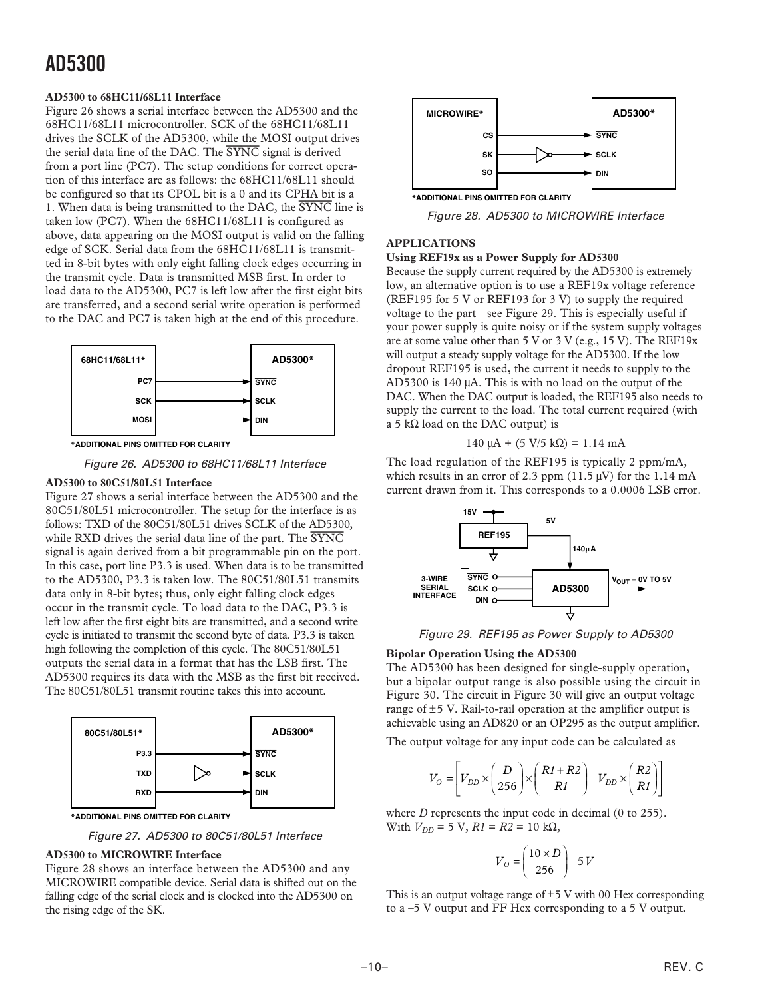## **AD5300 to 68HC11/68L11 Interface**

Figure 26 shows a serial interface between the AD5300 and the 68HC11/68L11 microcontroller. SCK of the 68HC11/68L11 drives the SCLK of the AD5300, while the MOSI output drives the serial data line of the DAC. The *SYNC* signal is derived from a port line (PC7). The setup conditions for correct operation of this interface are as follows: the 68HC11/68L11 should be configured so that its CPOL bit is a 0 and its CPHA bit is a 1. When data is being transmitted to the DAC, the *SYNC* line is taken low (PC7). When the 68HC11/68L11 is configured as above, data appearing on the MOSI output is valid on the falling edge of SCK. Serial data from the 68HC11/68L11 is transmitted in 8-bit bytes with only eight falling clock edges occurring in the transmit cycle. Data is transmitted MSB first. In order to load data to the AD5300, PC7 is left low after the first eight bits are transferred, and a second serial write operation is performed to the DAC and PC7 is taken high at the end of this procedure.



**\*ADDITIONAL PINS OMITTED FOR CLARITY**

Figure 26. AD5300 to 68HC11/68L11 Interface

## **AD5300 to 80C51/80L51 Interface**

Figure 27 shows a serial interface between the AD5300 and the 80C51/80L51 microcontroller. The setup for the interface is as follows: TXD of the 80C51/80L51 drives SCLK of the AD5300, while RXD drives the serial data line of the part. The *SYNC* signal is again derived from a bit programmable pin on the port. In this case, port line P3.3 is used. When data is to be transmitted to the AD5300, P3.3 is taken low. The 80C51/80L51 transmits data only in 8-bit bytes; thus, only eight falling clock edges occur in the transmit cycle. To load data to the DAC, P3.3 is left low after the first eight bits are transmitted, and a second write cycle is initiated to transmit the second byte of data. P3.3 is taken high following the completion of this cycle. The 80C51/80L51 outputs the serial data in a format that has the LSB first. The AD5300 requires its data with the MSB as the first bit received. The 80C51/80L51 transmit routine takes this into account.



**\*ADDITIONAL PINS OMITTED FOR CLARITY**

Figure 27. AD5300 to 80C51/80L51 Interface

## **AD5300 to MICROWIRE Interface**

Figure 28 shows an interface between the AD5300 and any MICROWIRE compatible device. Serial data is shifted out on the falling edge of the serial clock and is clocked into the AD5300 on the rising edge of the SK.



Figure 28. AD5300 to MICROWIRE Interface

## **APPLICATIONS**

## **Using REF19x as a Power Supply for AD5300**

Because the supply current required by the AD5300 is extremely low, an alternative option is to use a REF19x voltage reference (REF195 for 5 V or REF193 for 3 V) to supply the required voltage to the part—see Figure 29. This is especially useful if your power supply is quite noisy or if the system supply voltages are at some value other than 5 V or 3 V (e.g., 15 V). The REF19x will output a steady supply voltage for the AD5300. If the low dropout REF195 is used, the current it needs to supply to the AD5300 is 140 µA. This is with no load on the output of the DAC. When the DAC output is loaded, the REF195 also needs to supply the current to the load. The total current required (with a 5 kΩ load on the DAC output) is

$$
140 \mu A + (5 V/5 k\Omega) = 1.14 mA
$$

The load regulation of the REF195 is typically 2 ppm/mA, which results in an error of 2.3 ppm  $(11.5 \,\text{\ensuremath{\mu}V})$  for the 1.14 mA current drawn from it. This corresponds to a 0.0006 LSB error.



Figure 29. REF195 as Power Supply to AD5300

## **Bipolar Operation Using the AD5300**

The AD5300 has been designed for single-supply operation, but a bipolar output range is also possible using the circuit in Figure 30. The circuit in Figure 30 will give an output voltage range of  $\pm$ 5 V. Rail-to-rail operation at the amplifier output is achievable using an AD820 or an OP295 as the output amplifier.

The output voltage for any input code can be calculated as

$$
V_O = \left[ V_{DD} \times \left( \frac{D}{256} \right) \times \left( \frac{R1 + R2}{R1} \right) - V_{DD} \times \left( \frac{R2}{R1} \right) \right]
$$

where *D* represents the input code in decimal (0 to 255). With  $V_{DD}$  = 5 V,  $R1 = R2 = 10$  kΩ,

$$
V_O = \left(\frac{10 \times D}{256}\right) - 5V
$$

This is an output voltage range of  $\pm$ 5 V with 00 Hex corresponding to a –5 V output and FF Hex corresponding to a 5 V output.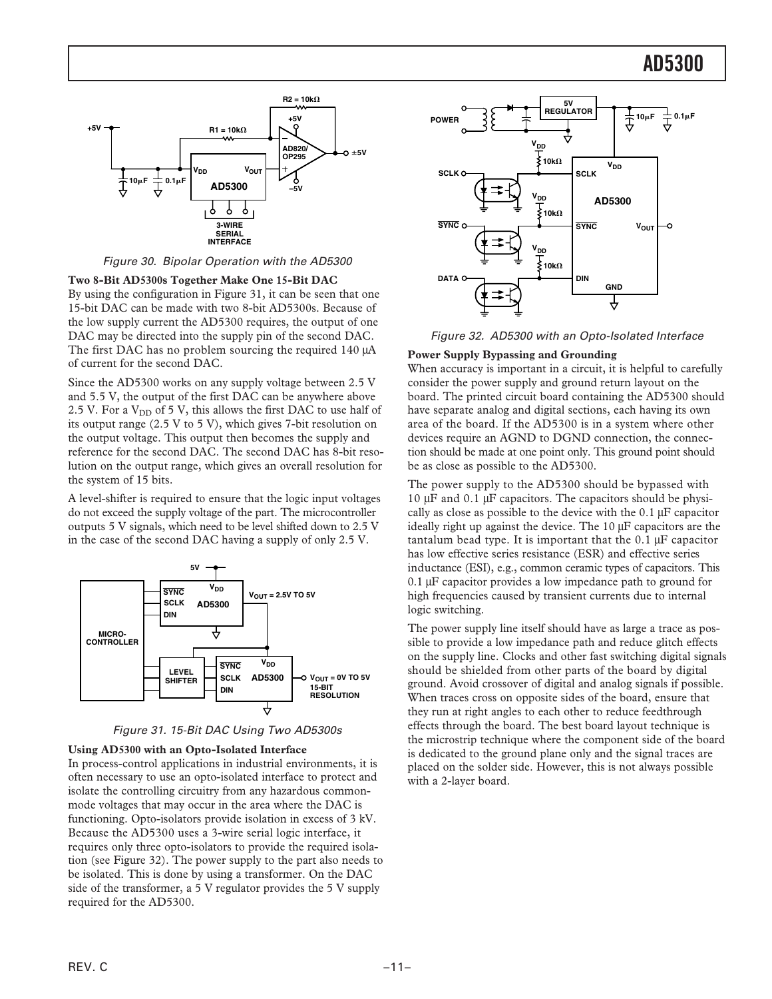

Figure 30. Bipolar Operation with the AD5300

**Two 8-Bit AD5300s Together Make One 15-Bit DAC**

By using the configuration in Figure 31, it can be seen that one 15-bit DAC can be made with two 8-bit AD5300s. Because of the low supply current the AD5300 requires, the output of one DAC may be directed into the supply pin of the second DAC. The first DAC has no problem sourcing the required 140  $\mu$ A of current for the second DAC.

Since the AD5300 works on any supply voltage between 2.5 V and 5.5 V, the output of the first DAC can be anywhere above 2.5 V. For a  $V_{DD}$  of 5 V, this allows the first DAC to use half of its output range (2.5 V to 5 V), which gives 7-bit resolution on the output voltage. This output then becomes the supply and reference for the second DAC. The second DAC has 8-bit resolution on the output range, which gives an overall resolution for the system of 15 bits.

A level-shifter is required to ensure that the logic input voltages do not exceed the supply voltage of the part. The microcontroller outputs 5 V signals, which need to be level shifted down to 2.5 V in the case of the second DAC having a supply of only 2.5 V.





## **Using AD5300 with an Opto-Isolated Interface**

In process-control applications in industrial environments, it is often necessary to use an opto-isolated interface to protect and isolate the controlling circuitry from any hazardous commonmode voltages that may occur in the area where the DAC is functioning. Opto-isolators provide isolation in excess of 3 kV. Because the AD5300 uses a 3-wire serial logic interface, it requires only three opto-isolators to provide the required isolation (see Figure 32). The power supply to the part also needs to be isolated. This is done by using a transformer. On the DAC side of the transformer, a 5 V regulator provides the 5 V supply required for the AD5300.



Figure 32. AD5300 with an Opto-Isolated Interface

## **Power Supply Bypassing and Grounding**

When accuracy is important in a circuit, it is helpful to carefully consider the power supply and ground return layout on the board. The printed circuit board containing the AD5300 should have separate analog and digital sections, each having its own area of the board. If the AD5300 is in a system where other devices require an AGND to DGND connection, the connection should be made at one point only. This ground point should be as close as possible to the AD5300.

The power supply to the AD5300 should be bypassed with 10 µF and 0.1 µF capacitors. The capacitors should be physically as close as possible to the device with the 0.1 µF capacitor ideally right up against the device. The 10 µF capacitors are the tantalum bead type. It is important that the  $0.1 \mu$ F capacitor has low effective series resistance (ESR) and effective series inductance (ESI), e.g., common ceramic types of capacitors. This 0.1 µF capacitor provides a low impedance path to ground for high frequencies caused by transient currents due to internal logic switching.

The power supply line itself should have as large a trace as possible to provide a low impedance path and reduce glitch effects on the supply line. Clocks and other fast switching digital signals should be shielded from other parts of the board by digital ground. Avoid crossover of digital and analog signals if possible. When traces cross on opposite sides of the board, ensure that they run at right angles to each other to reduce feedthrough effects through the board. The best board layout technique is the microstrip technique where the component side of the board is dedicated to the ground plane only and the signal traces are placed on the solder side. However, this is not always possible with a 2-layer board.